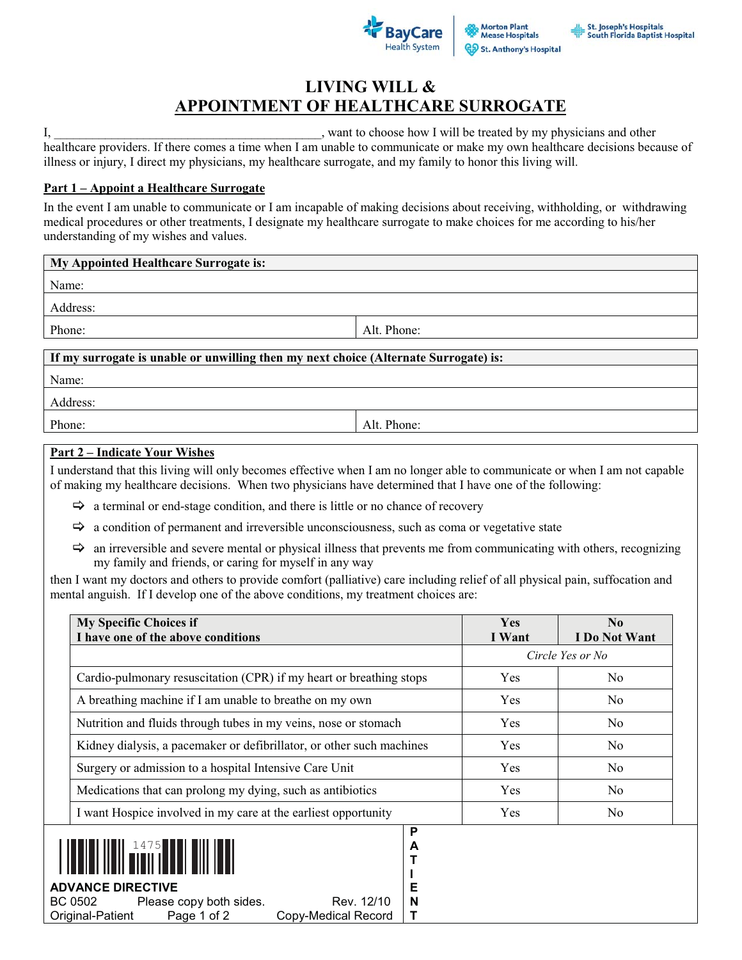

**Morton Plant** 

**Mease Hospitals** 



# **LIVING WILL & APPOINTMENT OF HEALTHCARE SURROGATE**

I, want to choose how I will be treated by my physicians and other healthcare providers. If there comes a time when I am unable to communicate or make my own healthcare decisions because of illness or injury, I direct my physicians, my healthcare surrogate, and my family to honor this living will.

#### **Part 1 – Appoint a Healthcare Surrogate**

In the event I am unable to communicate or I am incapable of making decisions about receiving, withholding, or withdrawing medical procedures or other treatments, I designate my healthcare surrogate to make choices for me according to his/her understanding of my wishes and values.

| My Appointed Healthcare Surrogate is:                                                |             |  |  |  |
|--------------------------------------------------------------------------------------|-------------|--|--|--|
| Name:                                                                                |             |  |  |  |
| Address:                                                                             |             |  |  |  |
| Phone:                                                                               | Alt. Phone: |  |  |  |
|                                                                                      |             |  |  |  |
| If my surrogate is unable or unwilling then my next choice (Alternate Surrogate) is: |             |  |  |  |
| Name:                                                                                |             |  |  |  |
| Address:                                                                             |             |  |  |  |
| Phone:                                                                               | Alt. Phone: |  |  |  |

#### **Part 2 – Indicate Your Wishes**

I understand that this living will only becomes effective when I am no longer able to communicate or when I am not capable of making my healthcare decisions. When two physicians have determined that I have one of the following:

- $\Rightarrow$  a terminal or end-stage condition, and there is little or no chance of recovery
- $\Rightarrow$  a condition of permanent and irreversible unconsciousness, such as coma or vegetative state
- $\Rightarrow$  an irreversible and severe mental or physical illness that prevents me from communicating with others, recognizing my family and friends, or caring for myself in any way

then I want my doctors and others to provide comfort (palliative) care including relief of all physical pain, suffocation and mental anguish. If I develop one of the above conditions, my treatment choices are:

| <b>My Specific Choices if</b><br>I have one of the above conditions                                                                                             | <b>Yes</b><br>I Want | $\bf No$<br>I Do Not Want |
|-----------------------------------------------------------------------------------------------------------------------------------------------------------------|----------------------|---------------------------|
|                                                                                                                                                                 | Circle Yes or No     |                           |
| Cardio-pulmonary resuscitation (CPR) if my heart or breathing stops                                                                                             | <b>Yes</b>           | N <sub>0</sub>            |
| A breathing machine if I am unable to breathe on my own                                                                                                         | <b>Yes</b>           | N <sub>0</sub>            |
| Nutrition and fluids through tubes in my veins, nose or stomach                                                                                                 | Yes                  | N <sub>0</sub>            |
| Kidney dialysis, a pacemaker or defibrillator, or other such machines                                                                                           | Yes                  | N <sub>0</sub>            |
| Surgery or admission to a hospital Intensive Care Unit                                                                                                          | Yes                  | N <sub>o</sub>            |
| Medications that can prolong my dying, such as antibiotics                                                                                                      | Yes                  | No                        |
| I want Hospice involved in my care at the earliest opportunity                                                                                                  | Yes                  | N <sub>0</sub>            |
| P<br>A<br><b>ADVANCE DIRECTIVE</b><br>Е<br>Rev. 12/10<br>Please copy both sides.<br>N<br>BC 0502<br>Т<br>Original-Patient<br>Page 1 of 2<br>Copy-Medical Record |                      |                           |